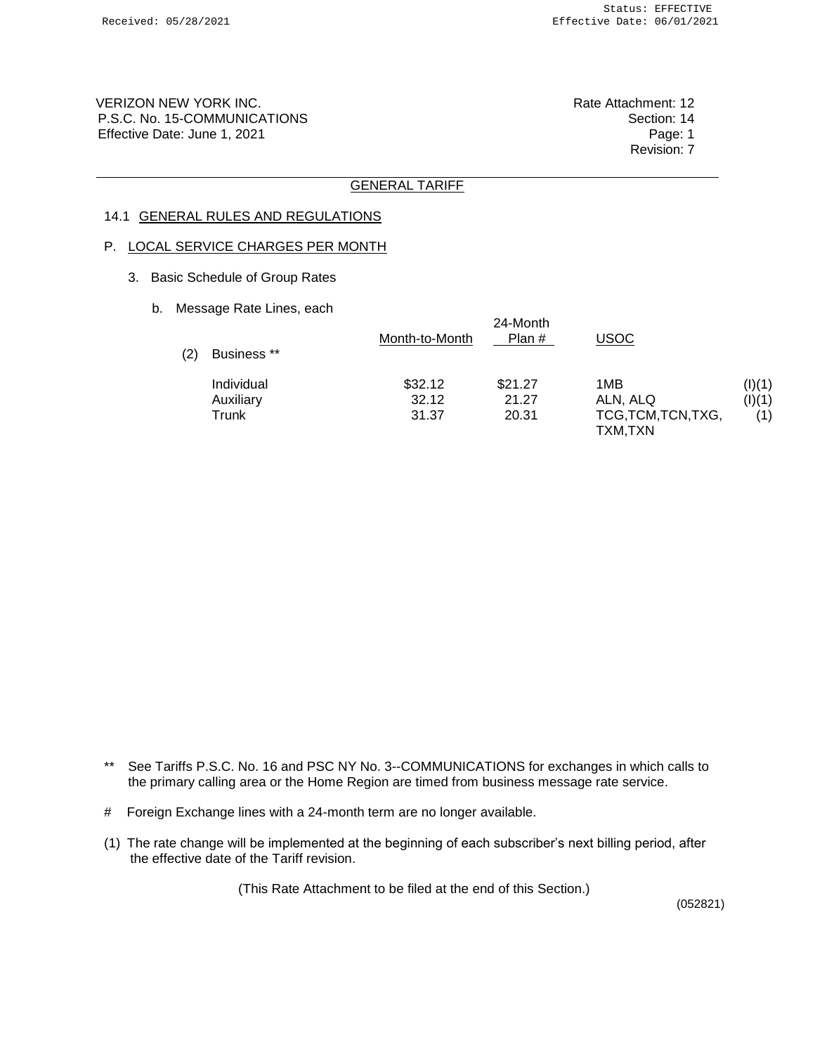VERIZON NEW YORK INC. **Rate Attachment: 12** P.S.C. No. 15-COMMUNICATIONS Section: 14 Effective Date: June 1, 2021 **Page: 1** Page: 1

Revision: 7

### GENERAL TARIFF

### 14.1 GENERAL RULES AND REGULATIONS

## P. LOCAL SERVICE CHARGES PER MONTH

- 3. Basic Schedule of Group Rates
	- b. Message Rate Lines, each

| (2) | Business ** | Month-to-Month | 24-Month<br>Plan $#$ | USOC                |        |
|-----|-------------|----------------|----------------------|---------------------|--------|
|     | Individual  | \$32.12        | \$21.27              | 1MB                 | (I)(1) |
|     | Auxiliary   | 32.12          | 21.27                | ALN, ALQ            | (I)(1) |
|     | Trunk       | 31.37          | 20.31                | TCG, TCM, TCN, TXG, | (1)    |
|     |             |                |                      | TXM,TXN             |        |

- \*\* See Tariffs P.S.C. No. 16 and PSC NY No. 3--COMMUNICATIONS for exchanges in which calls to the primary calling area or the Home Region are timed from business message rate service.
- # Foreign Exchange lines with a 24-month term are no longer available.
- (1) The rate change will be implemented at the beginning of each subscriber's next billing period, after the effective date of the Tariff revision.

(This Rate Attachment to be filed at the end of this Section.)

(052821)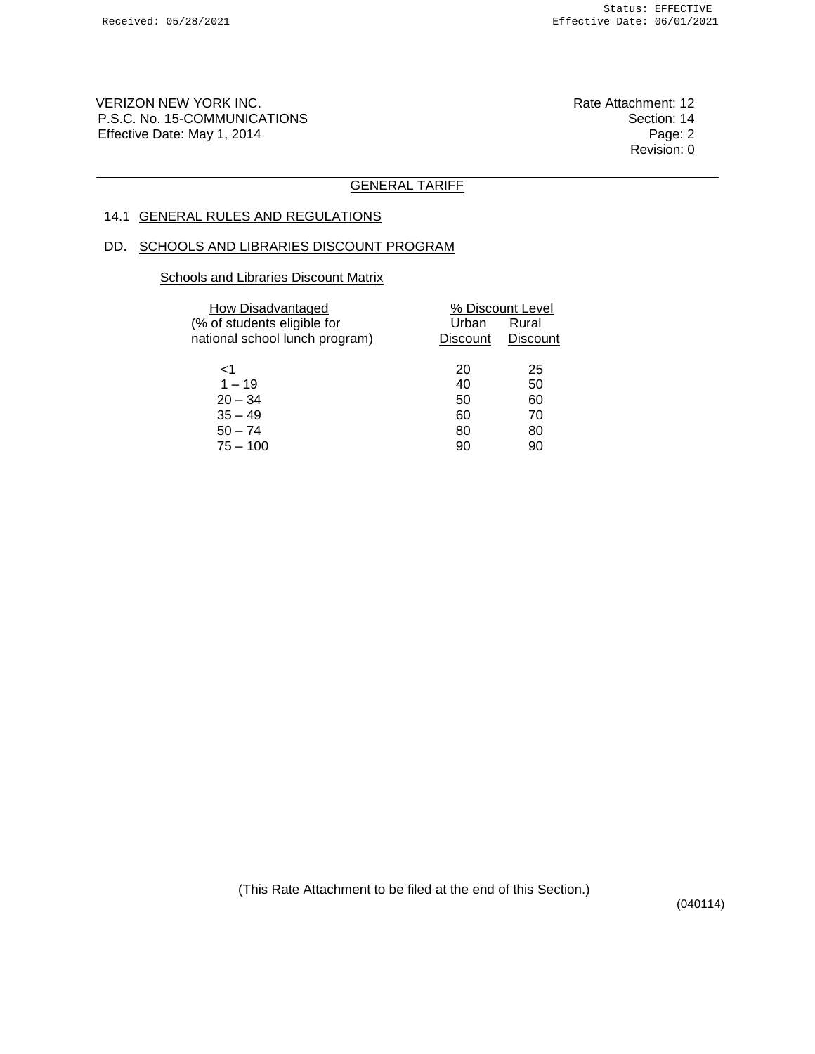VERIZON NEW YORK INC. The Contract of the Contract of the Rate Attachment: 12 P.S.C. No. 15-COMMUNICATIONS<br>Effective Date: May 1, 2014 Channel Section: 14 Effective Date: May 1, 2014

Revision: 0

## GENERAL TARIFF

# 14.1 GENERAL RULES AND REGULATIONS

#### DD. SCHOOLS AND LIBRARIES DISCOUNT PROGRAM

## **Schools and Libraries Discount Matrix**

| <b>How Disadvantaged</b><br>(% of students eligible for<br>national school lunch program) | Urban<br><b>Discount</b> | % Discount Level<br>Rural<br><b>Discount</b> |
|-------------------------------------------------------------------------------------------|--------------------------|----------------------------------------------|
| 1>                                                                                        | 20                       | 25                                           |
| $1 - 19$                                                                                  | 40                       | 50                                           |
| $20 - 34$                                                                                 | 50                       | 60                                           |
| $35 - 49$                                                                                 | 60                       | 70                                           |
| $50 - 74$                                                                                 | 80                       | 80                                           |
| $75 - 100$                                                                                | 90                       | 90                                           |

(This Rate Attachment to be filed at the end of this Section.)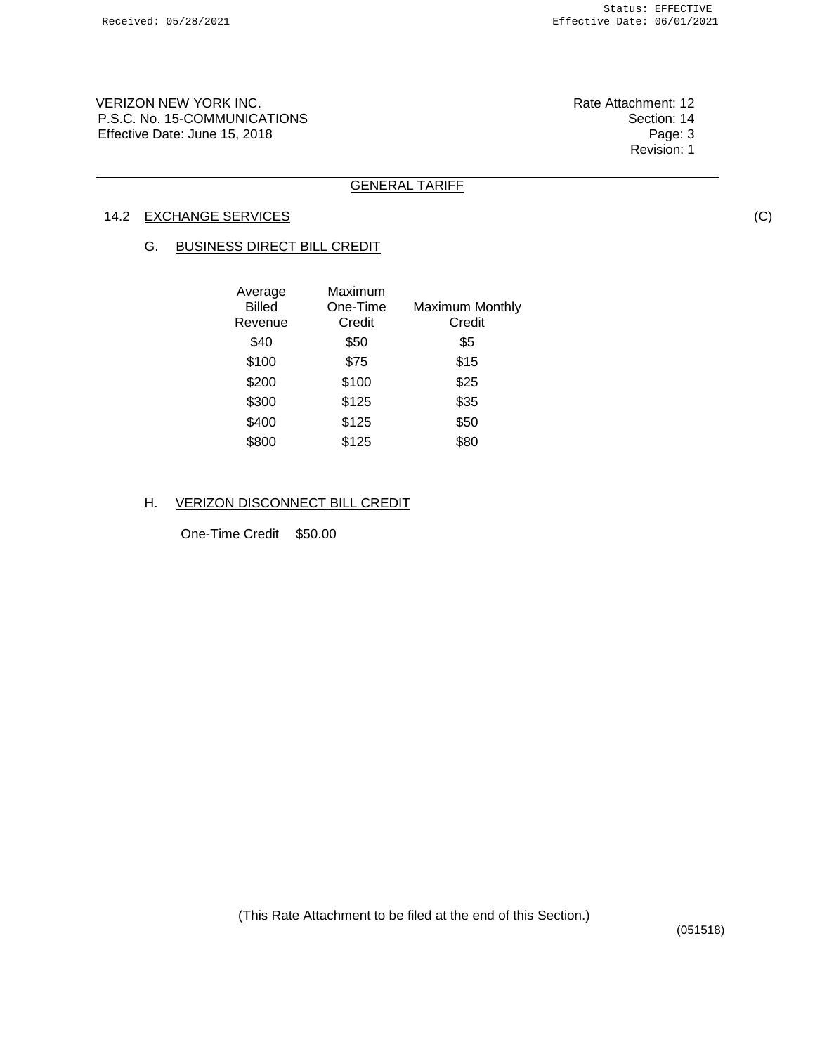VERIZON NEW YORK INC. The Contract of the Contract of the Rate Attachment: 12 P.S.C. No. 15-COMMUNICATIONS<br>Effective Date: June 15, 2018 Effective Date: June 15, 2018

Revision: 1

### GENERAL TARIFF

## 14.2 EXCHANGE SERVICES

#### G. BUSINESS DIRECT BILL CREDIT

| Average<br><b>Billed</b><br>Revenue | Maximum<br>One-Time<br>Credit | <b>Maximum Monthly</b><br>Credit |
|-------------------------------------|-------------------------------|----------------------------------|
| \$40                                | \$50                          | \$5                              |
| \$100                               | \$75                          | \$15                             |
| \$200                               | \$100                         | \$25                             |
| \$300                               | \$125                         | \$35                             |
| \$400                               | \$125                         | \$50                             |
| \$800                               | \$125                         | \$80                             |

#### H. VERIZON DISCONNECT BILL CREDIT

One-Time Credit \$50.00

(This Rate Attachment to be filed at the end of this Section.)

(051518)

(C)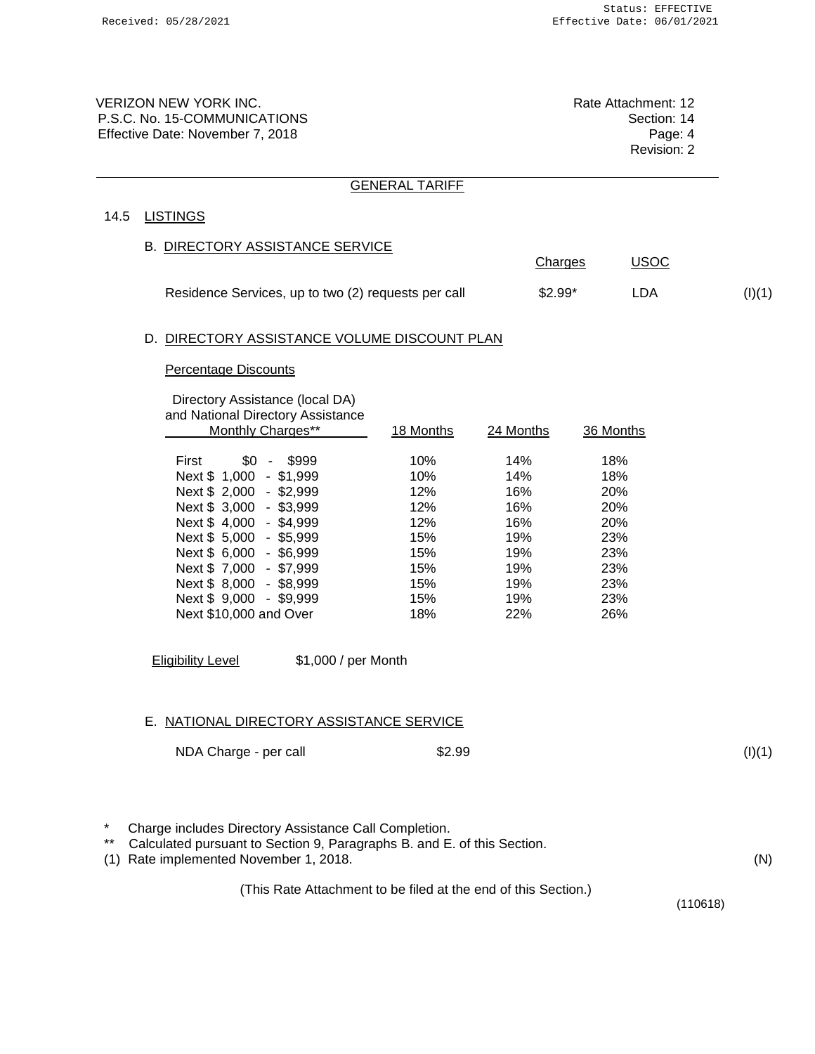VERIZON NEW YORK INC. **Rate Attachment: 12** P.S.C. No. 15-COMMUNICATIONS **Section: 14** Effective Date: November 7, 2018 **Page: 4** Page: 4

Revision: 2

Charges USOC

#### GENERAL TARIFF

### 14.5 LISTINGS

#### B. DIRECTORY ASSISTANCE SERVICE

| Residence Services, up to two (2) requests per call | $$2.99*$ | (I)(1) |
|-----------------------------------------------------|----------|--------|

### D. DIRECTORY ASSISTANCE VOLUME DISCOUNT PLAN

#### Percentage Discounts

#### Directory Assistance (local DA) and National Directory Assistance

| and national Directory Assistance<br>Monthly Charges** | 18 Months | 24 Months | 36 Months  |
|--------------------------------------------------------|-----------|-----------|------------|
|                                                        |           |           |            |
| \$999<br>\$0<br>First<br>$\sim$                        | 10%       | 14%       | 18%        |
| Next \$ 1,000 - \$1,999                                | 10%       | 14%       | 18%        |
| Next \$ 2,000 - \$2,999                                | 12%       | 16%       | <b>20%</b> |
| Next \$ 3,000 - \$3,999                                | 12%       | 16%       | <b>20%</b> |
| Next \$4,000<br>$-$ \$4,999                            | 12%       | 16%       | <b>20%</b> |
| Next \$ 5,000<br>$-$ \$5,999                           | 15%       | 19%       | 23%        |
| Next \$ 6,000 - \$6,999                                | 15%       | 19%       | 23%        |
| Next \$7,000<br>$-$ \$7,999                            | 15%       | 19%       | 23%        |
| Next \$ 8,000 - \$8,999                                | 15%       | 19%       | 23%        |
| Next \$ 9,000<br>- \$9,999                             | 15%       | 19%       | 23%        |
| Next \$10,000 and Over                                 | 18%       | 22%       | 26%        |
|                                                        |           |           |            |

Eligibility Level \$1,000 / per Month

#### E. NATIONAL DIRECTORY ASSISTANCE SERVICE

| NDA Charge - per call | \$2.99 |
|-----------------------|--------|
|                       |        |

 $(I)(1)$ 

(N)

\* Charge includes Directory Assistance Call Completion.<br>\*\* Calculated pursuant to Section 9, Paragraphs B, and F

Calculated pursuant to Section 9, Paragraphs B. and E. of this Section.

(1) Rate implemented November 1, 2018.

(This Rate Attachment to be filed at the end of this Section.)

(110618)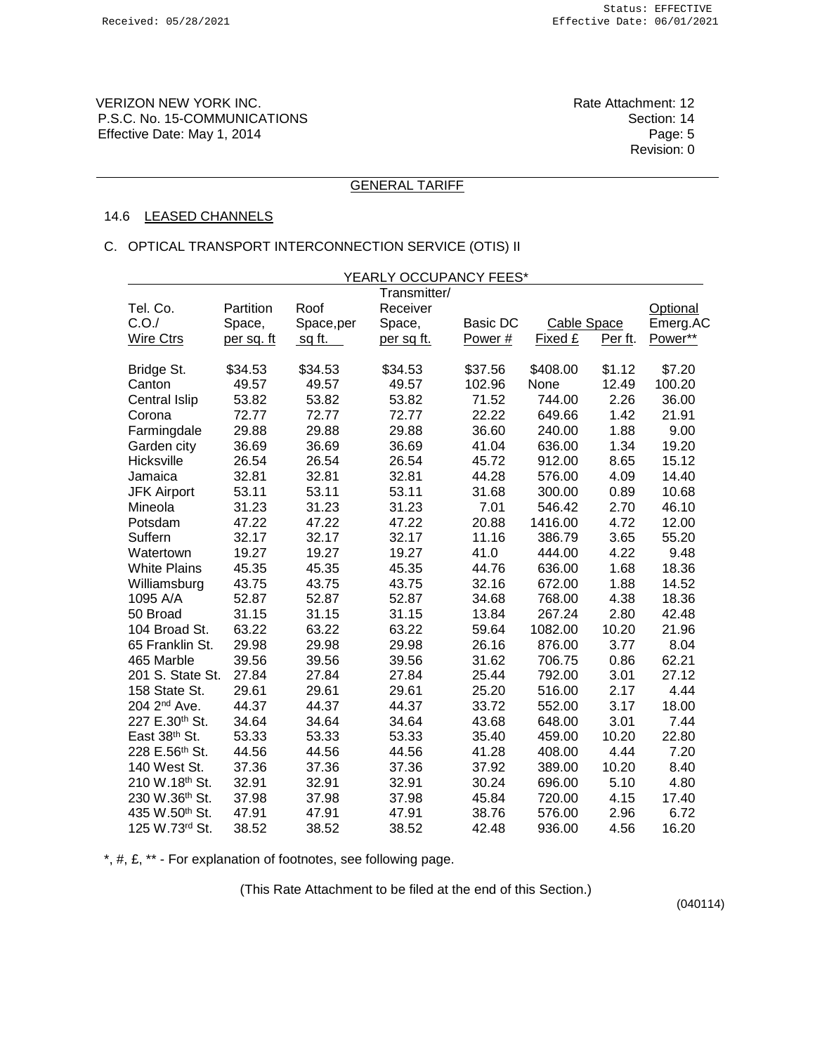VERIZON NEW YORK INC. The Contract of the Contract of the Rate Attachment: 12 P.S.C. No. 15-COMMUNICATIONS<br>Effective Date: May 1, 2014 Channel Section: 14 Effective Date: May 1, 2014

Revision: 0

### GENERAL TARIFF

#### 14.6 LEASED CHANNELS

#### C. OPTICAL TRANSPORT INTERCONNECTION SERVICE (OTIS) II

|                          |            |               | YEARLY OCCUPANCY FEES* |          |             |         |                 |
|--------------------------|------------|---------------|------------------------|----------|-------------|---------|-----------------|
|                          |            |               | Transmitter/           |          |             |         |                 |
| Tel. Co.                 | Partition  | Roof          | Receiver               |          |             |         | <b>Optional</b> |
| C.O./                    | Space,     | Space,per     | Space,                 | Basic DC | Cable Space |         | Emerg.AC        |
| <b>Wire Ctrs</b>         | per sq. ft | <u>sq ft.</u> | per sq ft.             | Power#   | Fixed £     | Per ft. | Power**         |
| Bridge St.               | \$34.53    | \$34.53       | \$34.53                | \$37.56  | \$408.00    | \$1.12  | \$7.20          |
| Canton                   | 49.57      | 49.57         | 49.57                  | 102.96   | None        | 12.49   | 100.20          |
| Central Islip            | 53.82      | 53.82         | 53.82                  | 71.52    | 744.00      | 2.26    | 36.00           |
| Corona                   | 72.77      | 72.77         | 72.77                  | 22.22    | 649.66      | 1.42    | 21.91           |
| Farmingdale              | 29.88      | 29.88         | 29.88                  | 36.60    | 240.00      | 1.88    | 9.00            |
| Garden city              | 36.69      | 36.69         | 36.69                  | 41.04    | 636.00      | 1.34    | 19.20           |
| Hicksville               | 26.54      | 26.54         | 26.54                  | 45.72    | 912.00      | 8.65    | 15.12           |
| Jamaica                  | 32.81      | 32.81         | 32.81                  | 44.28    | 576.00      | 4.09    | 14.40           |
| <b>JFK Airport</b>       | 53.11      | 53.11         | 53.11                  | 31.68    | 300.00      | 0.89    | 10.68           |
| Mineola                  | 31.23      | 31.23         | 31.23                  | 7.01     | 546.42      | 2.70    | 46.10           |
| Potsdam                  | 47.22      | 47.22         | 47.22                  | 20.88    | 1416.00     | 4.72    | 12.00           |
| Suffern                  | 32.17      | 32.17         | 32.17                  | 11.16    | 386.79      | 3.65    | 55.20           |
| Watertown                | 19.27      | 19.27         | 19.27                  | 41.0     | 444.00      | 4.22    | 9.48            |
| <b>White Plains</b>      | 45.35      | 45.35         | 45.35                  | 44.76    | 636.00      | 1.68    | 18.36           |
| Williamsburg             | 43.75      | 43.75         | 43.75                  | 32.16    | 672.00      | 1.88    | 14.52           |
| 1095 A/A                 | 52.87      | 52.87         | 52.87                  | 34.68    | 768.00      | 4.38    | 18.36           |
| 50 Broad                 | 31.15      | 31.15         | 31.15                  | 13.84    | 267.24      | 2.80    | 42.48           |
| 104 Broad St.            | 63.22      | 63.22         | 63.22                  | 59.64    | 1082.00     | 10.20   | 21.96           |
| 65 Franklin St.          | 29.98      | 29.98         | 29.98                  | 26.16    | 876.00      | 3.77    | 8.04            |
| 465 Marble               | 39.56      | 39.56         | 39.56                  | 31.62    | 706.75      | 0.86    | 62.21           |
| 201 S. State St.         | 27.84      | 27.84         | 27.84                  | 25.44    | 792.00      | 3.01    | 27.12           |
| 158 State St.            | 29.61      | 29.61         | 29.61                  | 25.20    | 516.00      | 2.17    | 4.44            |
| 204 2 <sup>nd</sup> Ave. | 44.37      | 44.37         | 44.37                  | 33.72    | 552.00      | 3.17    | 18.00           |
| 227 E.30th St.           | 34.64      | 34.64         | 34.64                  | 43.68    | 648.00      | 3.01    | 7.44            |
| East 38th St.            | 53.33      | 53.33         | 53.33                  | 35.40    | 459.00      | 10.20   | 22.80           |
| 228 E.56th St.           | 44.56      | 44.56         | 44.56                  | 41.28    | 408.00      | 4.44    | 7.20            |
| 140 West St.             | 37.36      | 37.36         | 37.36                  | 37.92    | 389.00      | 10.20   | 8.40            |
| 210 W.18th St.           | 32.91      | 32.91         | 32.91                  | 30.24    | 696.00      | 5.10    | 4.80            |
| 230 W.36th St.           | 37.98      | 37.98         | 37.98                  | 45.84    | 720.00      | 4.15    | 17.40           |
| 435 W.50th St.           | 47.91      | 47.91         | 47.91                  | 38.76    | 576.00      | 2.96    | 6.72            |
| 125 W.73rd St.           | 38.52      | 38.52         | 38.52                  | 42.48    | 936.00      | 4.56    | 16.20           |

\*, #, £, \*\* - For explanation of footnotes, see following page.

(This Rate Attachment to be filed at the end of this Section.)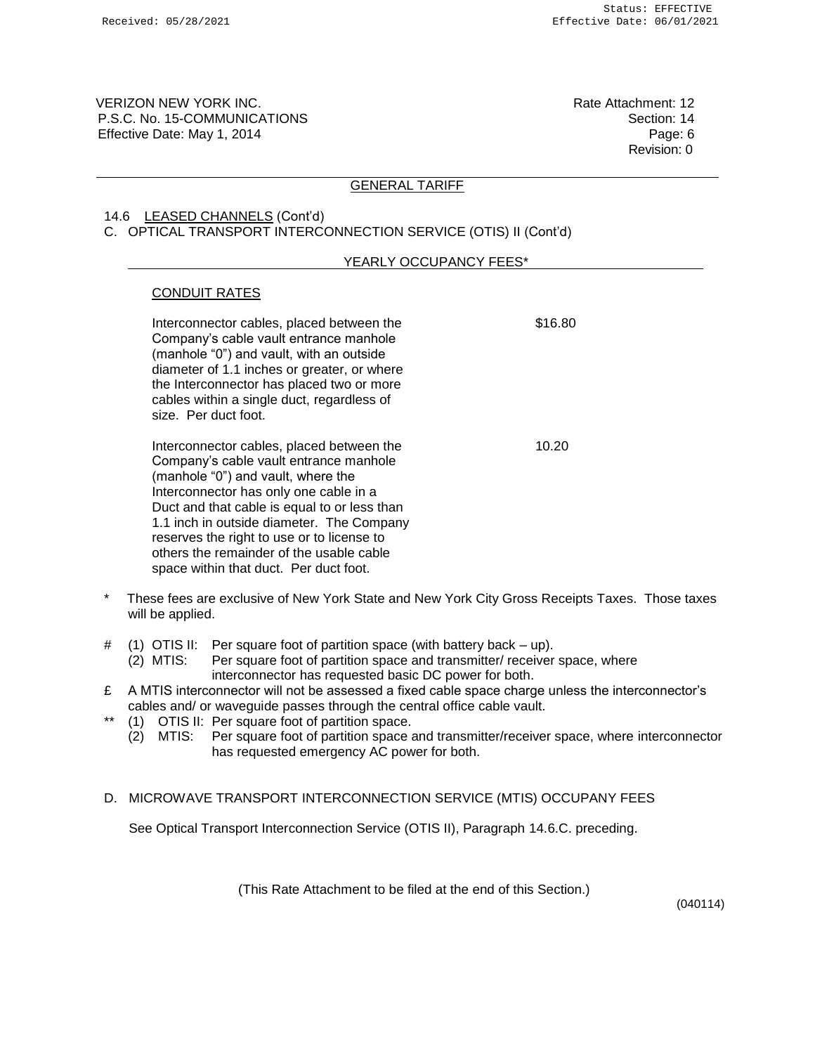VERIZON NEW YORK INC. **Rate Attachment: 12** P.S.C. No. 15-COMMUNICATIONS Section: 14 Effective Date: May 1, 2014 **Page: 6** Page: 6

Revision: 0

#### GENERAL TARIFF

### 14.6 LEASED CHANNELS (Cont'd) C. OPTICAL TRANSPORT INTERCONNECTION SERVICE (OTIS) II (Cont'd)

### YEARLY OCCUPANCY FEES\*

### CONDUIT RATES

| Interconnector cables, placed between the<br>Company's cable vault entrance manhole<br>(manhole "0") and vault, with an outside<br>diameter of 1.1 inches or greater, or where<br>the Interconnector has placed two or more<br>cables within a single duct, regardless of<br>size. Per duct foot.                                                                                                    | \$16.80 |
|------------------------------------------------------------------------------------------------------------------------------------------------------------------------------------------------------------------------------------------------------------------------------------------------------------------------------------------------------------------------------------------------------|---------|
| Interconnector cables, placed between the<br>Company's cable vault entrance manhole<br>(manhole "0") and vault, where the<br>Interconnector has only one cable in a<br>Duct and that cable is equal to or less than<br>1.1 inch in outside diameter. The Company<br>reserves the right to use or to license to<br>others the remainder of the usable cable<br>space within that duct. Per duct foot. | 10.20   |

- \* These fees are exclusive of New York State and New York City Gross Receipts Taxes. Those taxes will be applied.
- # (1) OTIS II: Per square foot of partition space (with battery back up).
	- (2) MTIS: Per square foot of partition space and transmitter/ receiver space, where interconnector has requested basic DC power for both.
- $£$  A MTIS interconnector will not be assessed a fixed cable space charge unless the interconnector's cables and/ or waveguide passes through the central office cable vault.
- \*\* (1) OTIS II: Per square foot of partition space.
	- (2) MTIS: Per square foot of partition space and transmitter/receiver space, where interconnector has requested emergency AC power for both.
- D. MICROWAVE TRANSPORT INTERCONNECTION SERVICE (MTIS) OCCUPANY FEES

See Optical Transport Interconnection Service (OTIS II), Paragraph 14.6.C. preceding.

(This Rate Attachment to be filed at the end of this Section.)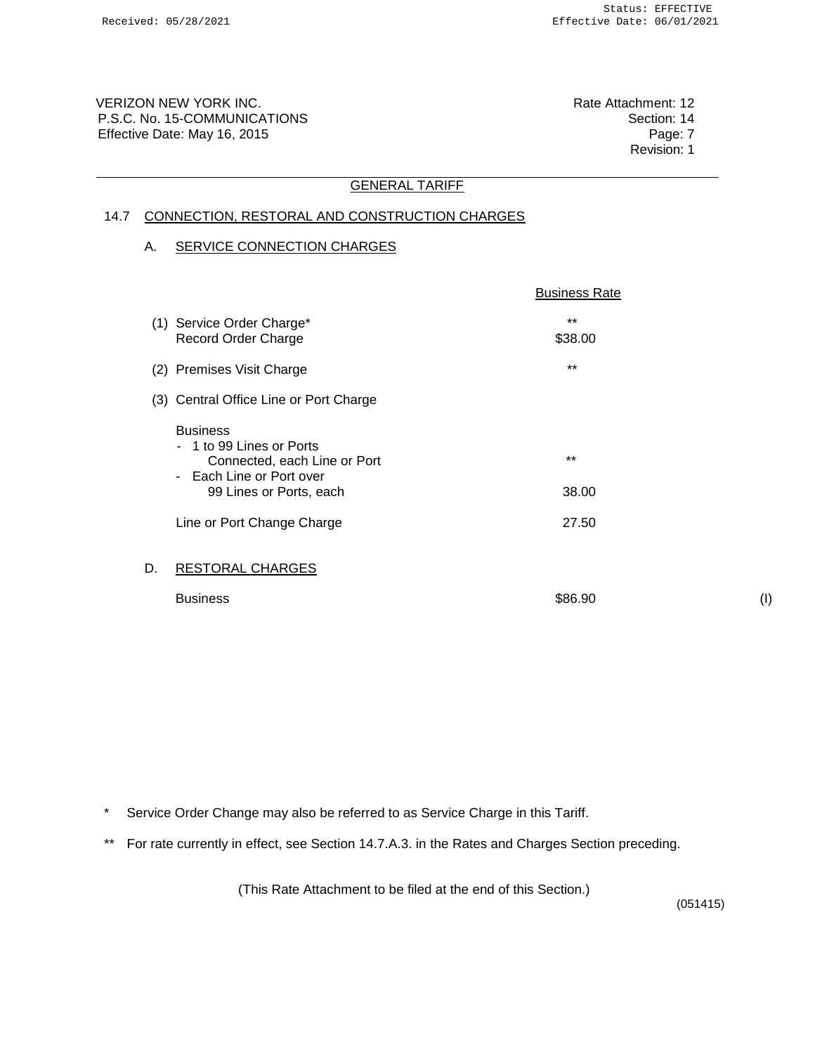VERIZON NEW YORK INC. The Contract of the Contract of the Rate Attachment: 12 P.S.C. No. 15-COMMUNICATIONS<br>Effective Date: May 16, 2015 Effective Date: May 16, 2015

Revision: 1

### GENERAL TARIFF

# 14.7 CONNECTION, RESTORAL AND CONSTRUCTION CHARGES

### A. SERVICE CONNECTION CHARGES

|    |                                                                                                                                                                | <b>Business Rate</b>    |
|----|----------------------------------------------------------------------------------------------------------------------------------------------------------------|-------------------------|
|    | (1) Service Order Charge*<br>Record Order Charge                                                                                                               | $***$<br>\$38.00        |
|    | (2) Premises Visit Charge                                                                                                                                      | $***$                   |
|    | (3) Central Office Line or Port Charge                                                                                                                         |                         |
|    | <b>Business</b><br>1 to 99 Lines or Ports<br>Connected, each Line or Port<br>- Each Line or Port over<br>99 Lines or Ports, each<br>Line or Port Change Charge | $***$<br>38.00<br>27.50 |
| D. | <b>RESTORAL CHARGES</b>                                                                                                                                        |                         |
|    | <b>Business</b>                                                                                                                                                | \$86.90                 |

(I)

- \* Service Order Change may also be referred to as Service Charge in this Tariff.
- \*\* For rate currently in effect, see Section 14.7.A.3. in the Rates and Charges Section preceding.

(This Rate Attachment to be filed at the end of this Section.)

(051415)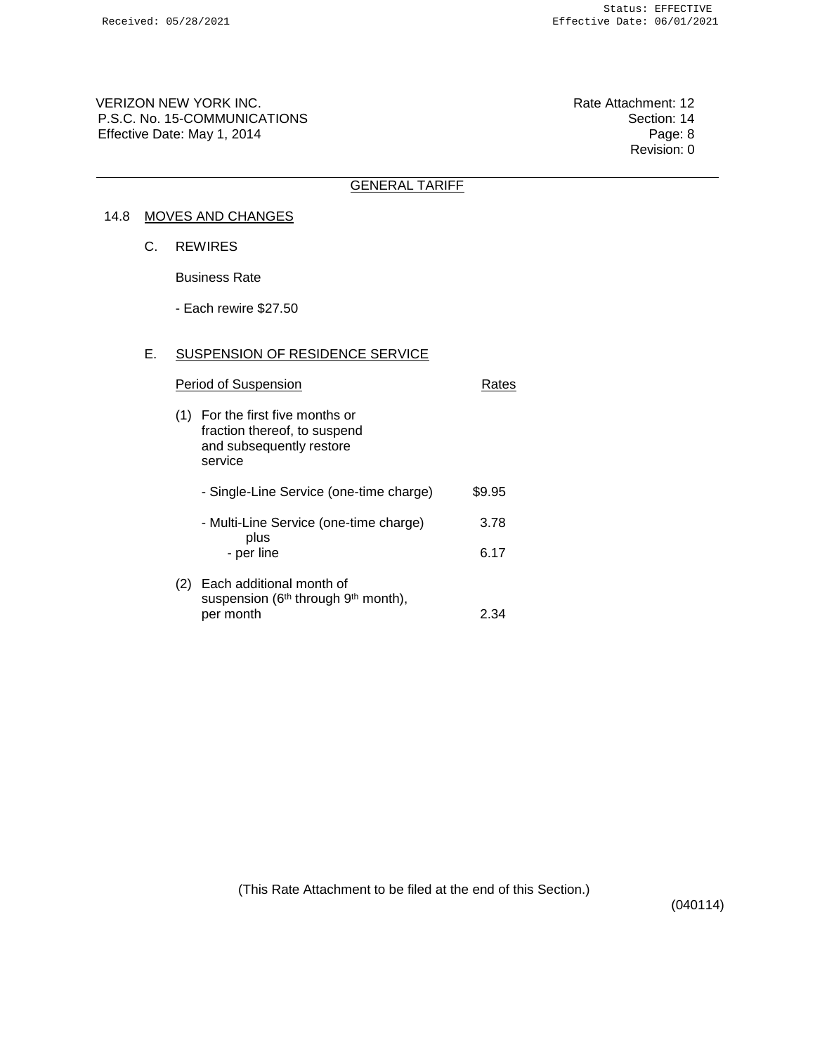VERIZON NEW YORK INC. The Contract of the Contract of the Rate Attachment: 12 P.S.C. No. 15-COMMUNICATIONS<br>Effective Date: May 1, 2014 Creation: 14 Effective Date: May 1, 2014

Revision: 0

# GENERAL TARIFF

## 14.8 MOVES AND CHANGES

C. REWIRES

Business Rate

- Each rewire \$27.50

## E. SUSPENSION OF RESIDENCE SERVICE

| Period of Suspension | Rates                                                                                               |        |
|----------------------|-----------------------------------------------------------------------------------------------------|--------|
| (1)                  | For the first five months or<br>fraction thereof, to suspend<br>and subsequently restore<br>service |        |
|                      | - Single-Line Service (one-time charge)                                                             | \$9.95 |
|                      | - Multi-Line Service (one-time charge)<br>plus                                                      | 3.78   |
|                      | - per line                                                                                          | 6.17   |
| (2)                  | Each additional month of<br>suspension (6 <sup>th</sup> through 9 <sup>th</sup> month),             |        |
|                      | per month                                                                                           | 2 34   |

(This Rate Attachment to be filed at the end of this Section.)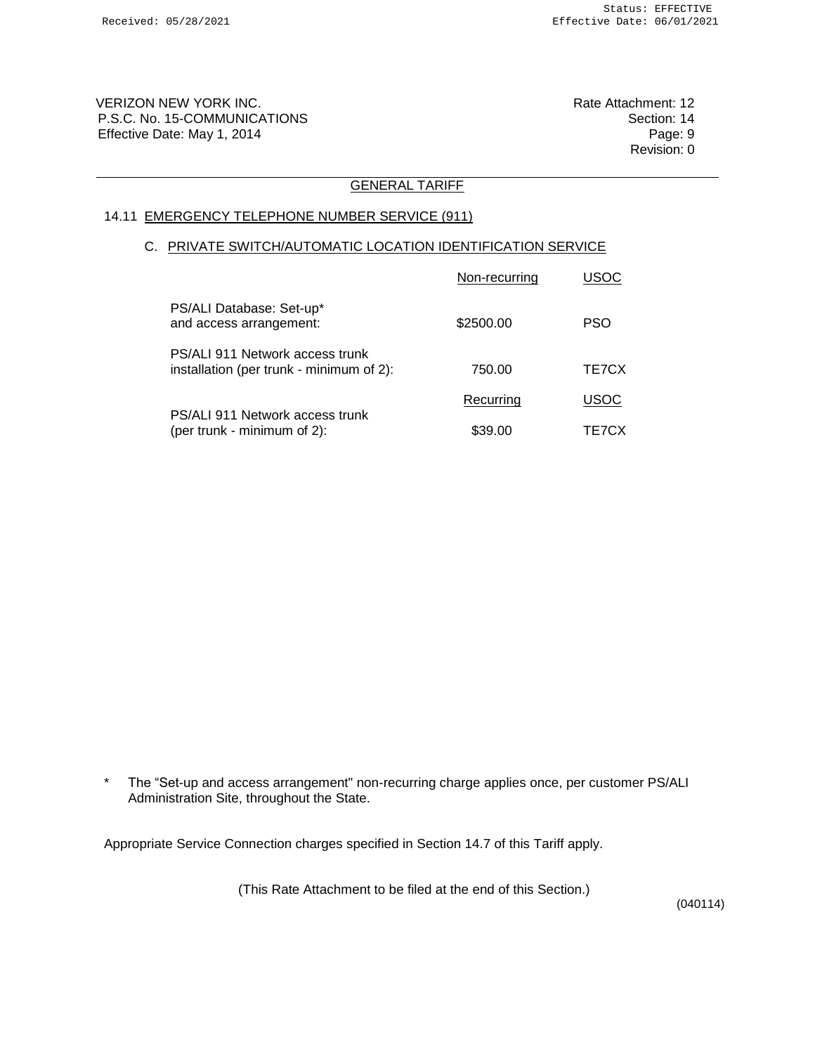VERIZON NEW YORK INC. The Contract of the Contract of the Contract of the Rate Attachment: 12 P.S.C. No. 15-COMMUNICATIONS **Section: 14** Effective Date: May 1, 2014 **Page: 9** Page: 9

Revision: 0

### GENERAL TARIFF

### 14.11 EMERGENCY TELEPHONE NUMBER SERVICE (911)

#### C. PRIVATE SWITCH/AUTOMATIC LOCATION IDENTIFICATION SERVICE

|                                                                             | Non-recurring | <b>USOC</b> |
|-----------------------------------------------------------------------------|---------------|-------------|
| PS/ALI Database: Set-up*<br>and access arrangement:                         | \$2500.00     | <b>PSO</b>  |
| PS/ALI 911 Network access trunk<br>installation (per trunk - minimum of 2): | 750.00        | TE7CX       |
|                                                                             | Recurring     | <b>USOC</b> |
| PS/ALI 911 Network access trunk<br>(per trunk - minimum of 2):              | \$39.00       | TE7CX       |

\* The "Set-up and access arrangement" non-recurring charge applies once, per customer PS/ALI Administration Site, throughout the State.

Appropriate Service Connection charges specified in Section 14.7 of this Tariff apply.

(This Rate Attachment to be filed at the end of this Section.)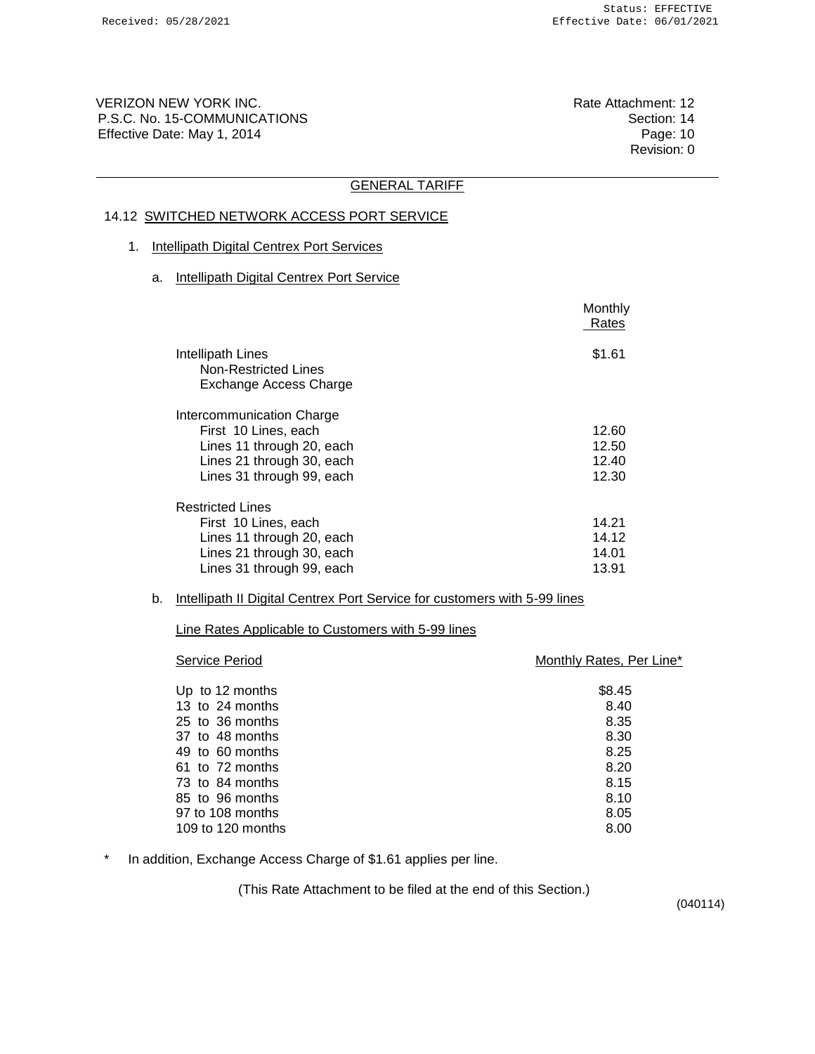VERIZON NEW YORK INC. The Contract of the Contract of the Contract of the Rate Attachment: 12 P.S.C. No. 15-COMMUNICATIONS **Section: 14** Effective Date: May 1, 2014 **Page: 10** Page: 10

Revision: 0

# GENERAL TARIFF

# 14.12 SWITCHED NETWORK ACCESS PORT SERVICE

### 1. Intellipath Digital Centrex Port Services

a. Intellipath Digital Centrex Port Service

|                                                                                | Monthly<br>Rates |
|--------------------------------------------------------------------------------|------------------|
| Intellipath Lines<br>Non-Restricted Lines<br>Exchange Access Charge            | \$1.61           |
| Intercommunication Charge<br>First 10 Lines, each<br>Lines 11 through 20, each | 12.60<br>12.50   |
| Lines 21 through 30, each<br>Lines 31 through 99, each                         | 12.40<br>12.30   |
| <b>Restricted Lines</b>                                                        |                  |
| First 10 Lines, each                                                           | 14.21            |
| Lines 11 through 20, each                                                      | 14.12<br>14.01   |
| Lines 21 through 30, each<br>Lines 31 through 99, each                         | 13.91            |

#### b. Intellipath II Digital Centrex Port Service for customers with 5-99 lines

Line Rates Applicable to Customers with 5-99 lines

| \$8.45<br>Up to 12 months<br>13 to 24 months<br>8.40<br>8.35<br>25 to 36 months | Monthly Rates, Per Line* |  |  |
|---------------------------------------------------------------------------------|--------------------------|--|--|
|                                                                                 |                          |  |  |
|                                                                                 |                          |  |  |
|                                                                                 |                          |  |  |
|                                                                                 |                          |  |  |
| 8.30<br>37 to 48 months                                                         |                          |  |  |
| 8.25<br>49 to 60 months                                                         |                          |  |  |
| 8.20<br>61 to 72 months                                                         |                          |  |  |
| 73 to 84 months<br>8.15                                                         |                          |  |  |
| 8.10<br>85 to 96 months                                                         |                          |  |  |
| 97 to 108 months<br>8.05                                                        |                          |  |  |
| 109 to 120 months<br>8.00                                                       |                          |  |  |

\* In addition, Exchange Access Charge of \$1.61 applies per line.

(This Rate Attachment to be filed at the end of this Section.)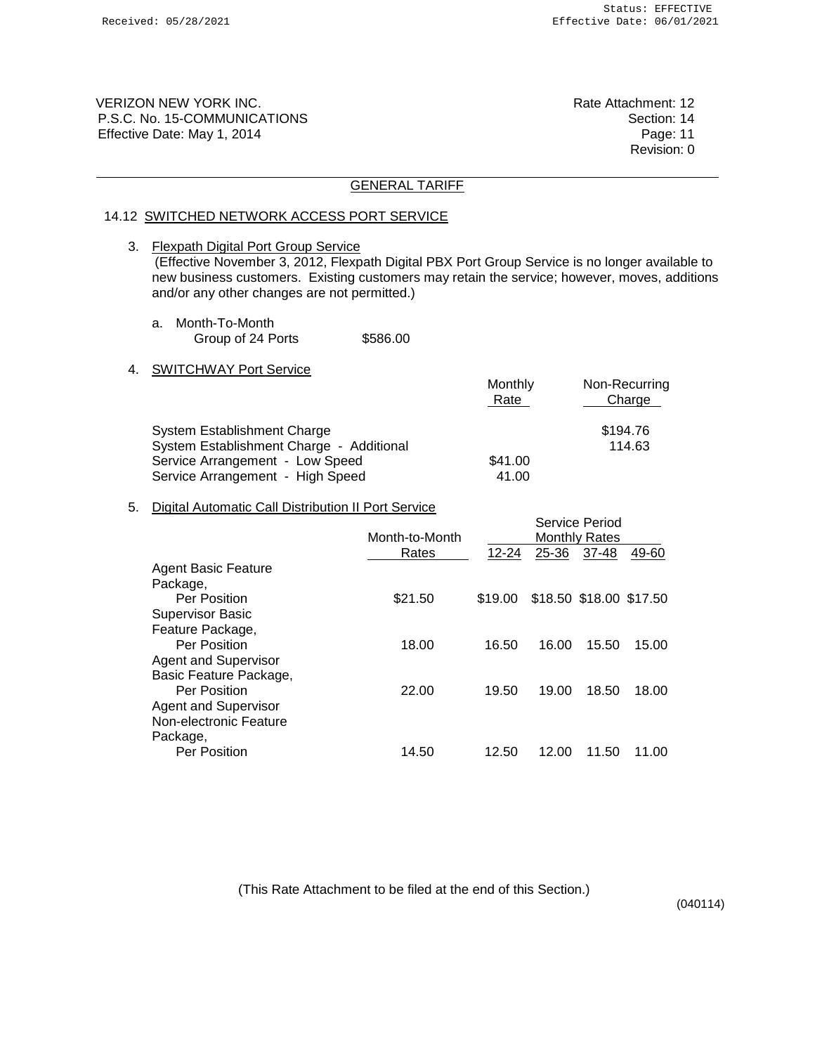VERIZON NEW YORK INC. **Rate Attachment: 12** P.S.C. No. 15-COMMUNICATIONS Section: 14 Effective Date: May 1, 2014 **Page: 11** Page: 11

Revision: 0

### GENERAL TARIFF

#### 14.12 SWITCHED NETWORK ACCESS PORT SERVICE

3. Flexpath Digital Port Group Service (Effective November 3, 2012, Flexpath Digital PBX Port Group Service is no longer available to new business customers. Existing customers may retain the service; however, moves, additions and/or any other changes are not permitted.)

- a. Month-To-Month Group of 24 Ports \$586.00
- 4. SWITCHWAY Port Service

|                                          | Monthly<br>Rate | Non-Recurring<br>Charge |
|------------------------------------------|-----------------|-------------------------|
| System Establishment Charge              |                 | \$194.76                |
| System Establishment Charge - Additional |                 | 114.63                  |
| Service Arrangement - Low Speed          | \$41.00         |                         |
| Service Arrangement - High Speed         | 41.00           |                         |

### 5. Digital Automatic Call Distribution II Port Service

|                             | Month-to-Month |           |       | Service Period<br><b>Monthly Rates</b> |       |
|-----------------------------|----------------|-----------|-------|----------------------------------------|-------|
|                             | Rates          | $12 - 24$ | 25-36 | 37-48                                  | 49-60 |
| <b>Agent Basic Feature</b>  |                |           |       |                                        |       |
| Package,                    |                |           |       |                                        |       |
| Per Position                | \$21.50        | \$19.00   |       | \$18.50 \$18.00 \$17.50                |       |
| <b>Supervisor Basic</b>     |                |           |       |                                        |       |
| Feature Package,            |                |           |       |                                        |       |
| Per Position                | 18.00          | 16.50     | 16.00 | 15.50                                  | 15.00 |
| <b>Agent and Supervisor</b> |                |           |       |                                        |       |
| Basic Feature Package,      |                |           |       |                                        |       |
| Per Position                | 22.00          | 19.50     | 19.00 | 18.50                                  | 18.00 |
| <b>Agent and Supervisor</b> |                |           |       |                                        |       |
| Non-electronic Feature      |                |           |       |                                        |       |
| Package,                    |                |           |       |                                        |       |
| Per Position                | 14.50          | 12.50     | 12.00 | 11.50                                  | .00   |
|                             |                |           |       |                                        |       |

(This Rate Attachment to be filed at the end of this Section.)